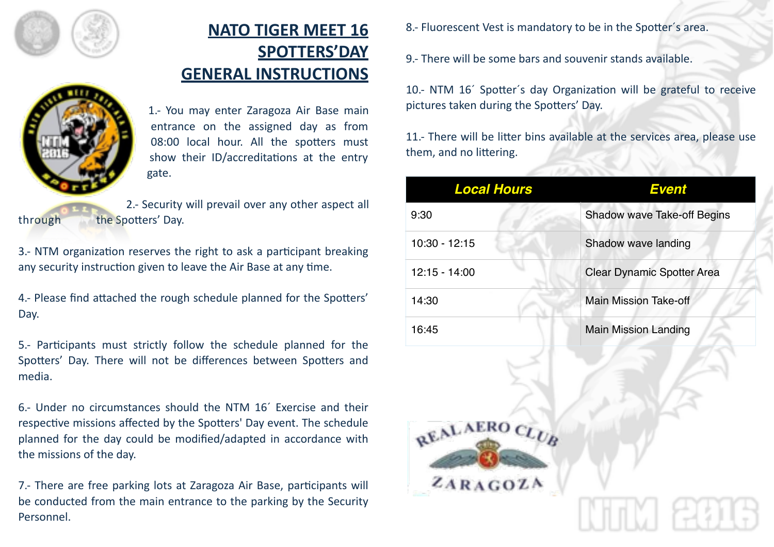

## **NATO TIGER MEET 16 SPOTTERS'DAY GENERAL INSTRUCTIONS**



1.- You may enter Zaragoza Air Base main entrance on the assigned day as from 08:00 local hour. All the spotters must show their ID/accreditations at the entry gate. 

2.- Security will prevail over any other aspect all through the Spotters' Day.

3.- NTM organization reserves the right to ask a participant breaking any security instruction given to leave the Air Base at any time.

4.- Please find attached the rough schedule planned for the Spotters' Day. 

5.- Participants must strictly follow the schedule planned for the Spotters' Day. There will not be differences between Spotters and media. 

6.- Under no circumstances should the NTM 16´ Exercise and their respective missions affected by the Spotters' Day event. The schedule planned for the day could be modified/adapted in accordance with the missions of the day.

7.- There are free parking lots at Zaragoza Air Base, participants will be conducted from the main entrance to the parking by the Security Personnel. 

8.- Fluorescent Vest is mandatory to be in the Spotter's area.

9.- There will be some bars and souvenir stands available.

10.- NTM 16<sup>'</sup> Spotter's day Organization will be grateful to receive pictures taken during the Spotters' Day.

11.- There will be litter bins available at the services area, please use them, and no littering.

12700

| <b>Local Hours</b>        | <b>Event</b>                 |
|---------------------------|------------------------------|
| 9:30                      | Shadow wave Take-off Begins  |
| 10:30 - 12:15             | Shadow wave landing          |
| 12:15 - 14:00             | Clear Dynamic Spotter Area   |
| 14:30                     | <b>Main Mission Take-off</b> |
| 16:45                     | <b>Main Mission Landing</b>  |
| REALAERO CLUB<br>ZARAGOZA |                              |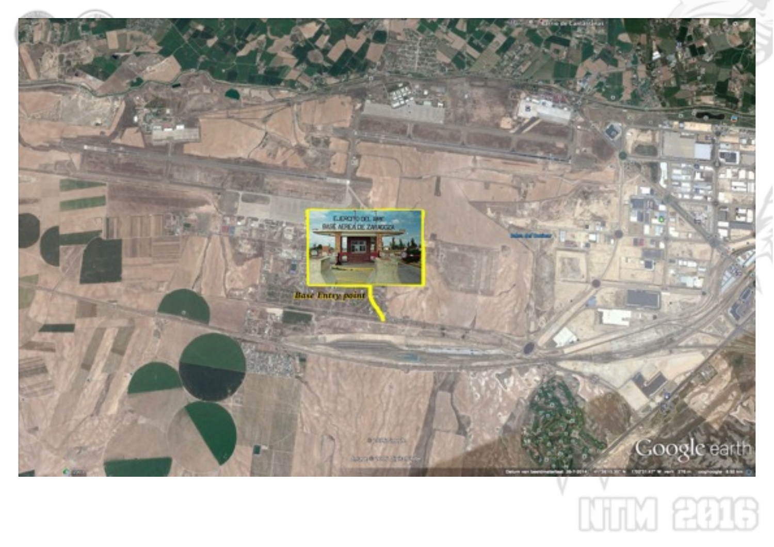